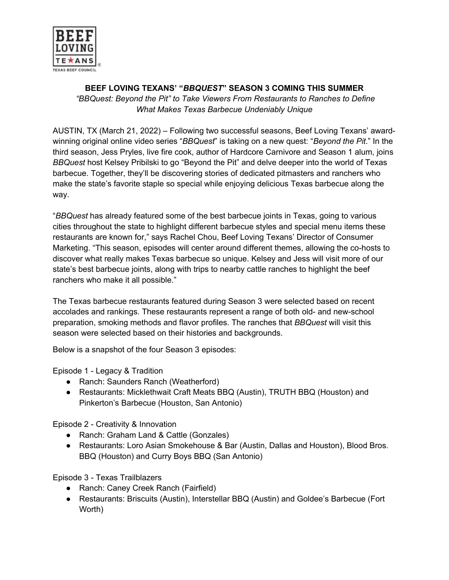

**BEEF LOVING TEXANS' "***BBQUEST***" SEASON 3 COMING THIS SUMMER** *"BBQuest: Beyond the Pit" to Take Viewers From Restaurants to Ranches to Define What Makes Texas Barbecue Undeniably Unique* 

AUSTIN, TX (March 21, 2022) – Following two successful seasons, Beef Loving Texans' awardwinning original online video series "*BBQuest*" is taking on a new quest: "*Beyond the Pit*." In the third season, Jess Pryles, live fire cook, author of Hardcore Carnivore and Season 1 alum, joins *BBQuest* host Kelsey Pribilski to go "Beyond the Pit" and delve deeper into the world of Texas barbecue. Together, they'll be discovering stories of dedicated pitmasters and ranchers who make the state's favorite staple so special while enjoying delicious Texas barbecue along the way.

"*BBQuest* has already featured some of the best barbecue joints in Texas, going to various cities throughout the state to highlight different barbecue styles and special menu items these restaurants are known for," says Rachel Chou, Beef Loving Texans' Director of Consumer Marketing. "This season, episodes will center around different themes, allowing the co-hosts to discover what really makes Texas barbecue so unique. Kelsey and Jess will visit more of our state's best barbecue joints, along with trips to nearby cattle ranches to highlight the beef ranchers who make it all possible."

The Texas barbecue restaurants featured during Season 3 were selected based on recent accolades and rankings. These restaurants represent a range of both old- and new-school preparation, smoking methods and flavor profiles. The ranches that *BBQuest* will visit this season were selected based on their histories and backgrounds.

Below is a snapshot of the four Season 3 episodes:

Episode 1 - Legacy & Tradition

- Ranch: Saunders Ranch (Weatherford)
- Restaurants: Micklethwait Craft Meats BBQ (Austin), TRUTH BBQ (Houston) and Pinkerton's Barbecue (Houston, San Antonio)

Episode 2 - Creativity & Innovation

- Ranch: Graham Land & Cattle (Gonzales)
- Restaurants: Loro Asian Smokehouse & Bar (Austin, Dallas and Houston), Blood Bros. BBQ (Houston) and Curry Boys BBQ (San Antonio)

Episode 3 - Texas Trailblazers

- Ranch: Caney Creek Ranch (Fairfield)
- Restaurants: Briscuits (Austin), Interstellar BBQ (Austin) and Goldee's Barbecue (Fort Worth)